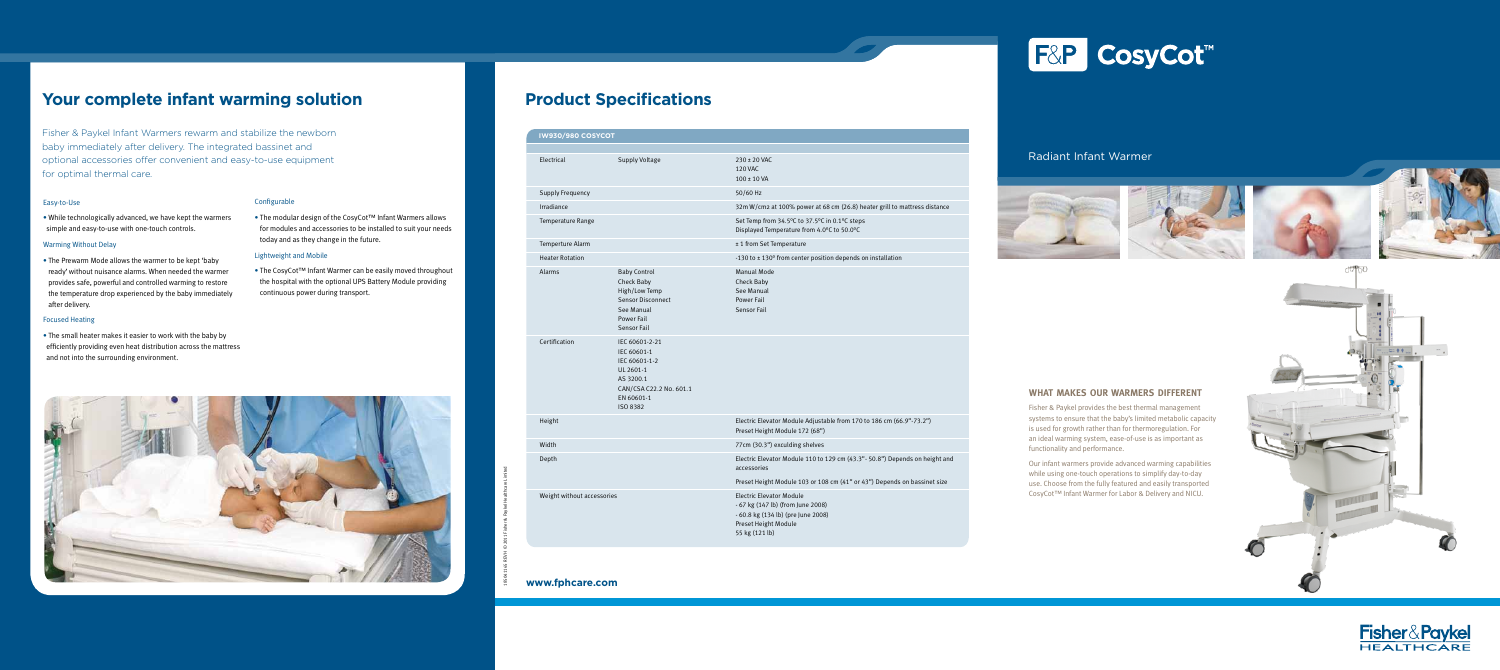**What Makes Our Warmers Different** Fisher & Paykel provides the best thermal management systems to ensure that the baby's limited metabolic capacity is used for growth rather than for thermoregulation. For an ideal warming system, ease-of-use is as important as

functionality and performance.



Our infant warmers provide advanced warming capabilities while using one-touch operations to simplify day-to-day use. Choose from the fully featured and easily transported CosyCot™ Infant Warmer for Labor & Delivery and NICU.

|  | <b>IW930/980 COSYCOT</b>   |                                                                                                                                  |                                                                                                                                                      |
|--|----------------------------|----------------------------------------------------------------------------------------------------------------------------------|------------------------------------------------------------------------------------------------------------------------------------------------------|
|  | Electrical                 | <b>Supply Voltage</b>                                                                                                            | 230 ± 20 VAC<br><b>120 VAC</b><br>$100 \pm 10$ VA                                                                                                    |
|  | <b>Supply Frequency</b>    |                                                                                                                                  | 50/60 Hz                                                                                                                                             |
|  | Irradiance                 |                                                                                                                                  | 32m W/cm2 at 100% power at 68 cm (26.8) heater grill to mattress distance                                                                            |
|  | Temperature Range          |                                                                                                                                  | Set Temp from 34.5°C to 37.5°C in 0.1°C steps<br>Displayed Temperature from 4.0°C to 50.0°C                                                          |
|  | Temperture Alarm           |                                                                                                                                  | ± 1 from Set Temperature                                                                                                                             |
|  | <b>Heater Rotation</b>     |                                                                                                                                  | -130 to ± 130° from center position depends on installation                                                                                          |
|  | <b>Alarms</b>              | <b>Baby Control</b><br>Check Baby<br>High/Low Temp<br><b>Sensor Disconnect</b><br>See Manual<br>Power Fail<br><b>Sensor Fail</b> | <b>Manual Mode</b><br>Check Baby<br>See Manual<br><b>Power Fail</b><br><b>Sensor Fail</b>                                                            |
|  | Certification              | IEC 60601-2-21<br>IEC 60601-1<br>IEC 60601-1-2<br>UL 2601-1<br>AS 3200.1<br>CAN/CSA C22.2 No. 601.1<br>EN 60601-1<br>ISO 8382    |                                                                                                                                                      |
|  | Height                     |                                                                                                                                  | Electric Elevator Module Adjustable from 170 to 186 cm (66.9"-73.2")<br>Preset Height Module 172 (68")                                               |
|  | Width                      |                                                                                                                                  | 77cm (30.3") exculding shelves                                                                                                                       |
|  | Depth                      |                                                                                                                                  | Electric Elevator Module 110 to 129 cm (43.3" - 50.8") Depends on height and<br>accessories                                                          |
|  |                            |                                                                                                                                  | Preset Height Module 103 or 108 cm (41" or 43") Depends on bassinet size                                                                             |
|  | Weight without accessories |                                                                                                                                  | <b>Electric Elevator Module</b><br>- 67 kg (147 lb) (from June 2008)<br>- 60.8 kg (134 lb) (pre June 2008)<br>Preset Height Module<br>55 kg (121 lb) |
|  |                            |                                                                                                                                  |                                                                                                                                                      |

Fisher & Paykel Infant Warmers rewarm and stabilize the newborn baby immediately after delivery. The integrated bassinet and optional accessories offer convenient and easy-to-use equipment for optimal thermal care.

# Easy-to-Use

• While technologically advanced, we have kept the warmers simple and easy-to-use with one-touch controls.

## Warming Without Delay

• The Prewarm Mode allows the warmer to be kept 'baby ready' without nuisance alarms. When needed the warmer provides safe, powerful and controlled warming to restore the temperature drop experienced by the baby immediately after delivery.

### Focused Heating

• The small heater makes it easier to work with the baby by efficiently providing even heat distribution across the mattress and not into the surrounding environment.

## Configurable

• The modular design of the CosyCot™ Infant Warmers allows for modules and accessories to be installed to suit your needs today and as they change in the future.

## Lightweight and Mobile

• The CosyCot™ Infant Warmer can be easily moved throughout the hospital with the optional UPS Battery Module providing continuous power during transport.

# **Product Specifications**

# **www.fphcare.com**

# Radiant Infant Warmer











185041165 RevH © 2011 Fisher & Paykel Healthcare Limited





# **Your complete infant warming solution**